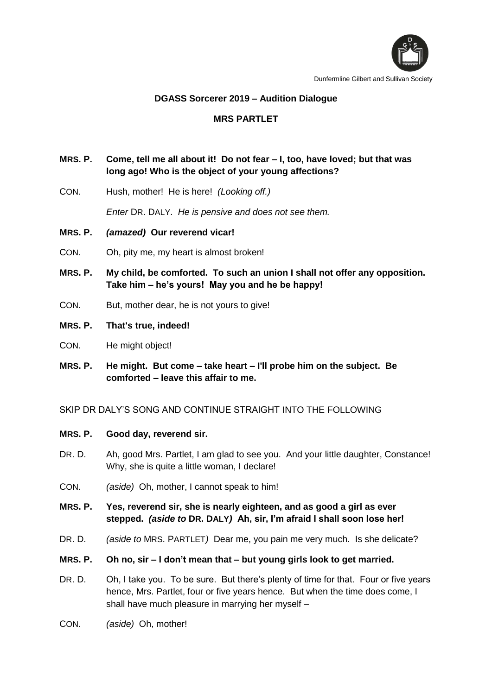

### **DGASS Sorcerer 2019 – Audition Dialogue**

# **MRS PARTLET**

# **MRS. P. Come, tell me all about it! Do not fear – I, too, have loved; but that was long ago! Who is the object of your young affections?**

CON. Hush, mother! He is here! *(Looking off.)*

*Enter* DR. DALY. *He is pensive and does not see them.*

### **MRS. P.** *(amazed)* **Our reverend vicar!**

- CON. Oh, pity me, my heart is almost broken!
- **MRS. P. My child, be comforted. To such an union I shall not offer any opposition. Take him – he's yours! May you and he be happy!**
- CON. But, mother dear, he is not yours to give!

### **MRS. P. That's true, indeed!**

- CON. He might object!
- **MRS. P. He might. But come – take heart – I'll probe him on the subject. Be comforted – leave this affair to me.**

SKIP DR DALY'S SONG AND CONTINUE STRAIGHT INTO THE FOLLOWING

- **MRS. P. Good day, reverend sir.**
- DR. D. Ah, good Mrs. Partlet, I am glad to see you. And your little daughter, Constance! Why, she is quite a little woman, I declare!
- CON. *(aside)* Oh, mother, I cannot speak to him!
- **MRS. P. Yes, reverend sir, she is nearly eighteen, and as good a girl as ever stepped.** *(aside to* **DR. DALY***)* **Ah, sir, I'm afraid I shall soon lose her!**
- DR. D. *(aside to* MRS. PARTLET*)* Dear me, you pain me very much. Is she delicate?
- **MRS. P. Oh no, sir – I don't mean that – but young girls look to get married.**
- DR. D. Oh, I take you. To be sure. But there's plenty of time for that. Four or five years hence, Mrs. Partlet, four or five years hence. But when the time does come, I shall have much pleasure in marrying her myself –
- CON. *(aside)* Oh, mother!